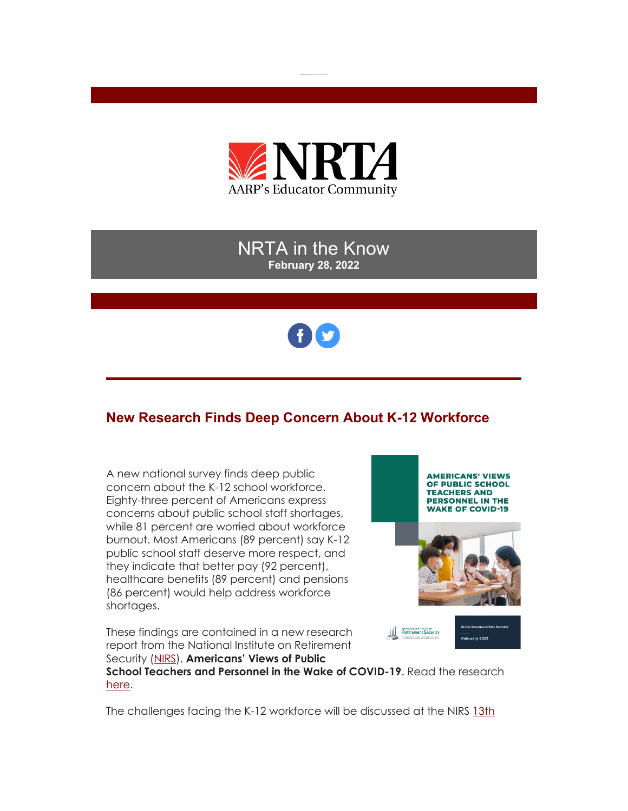

## NRTA in the Know **February 28, 2022**



# **New Research Finds Deep Concern About K-12 Workforce**

A new national survey finds deep public concern about the K-12 school workforce. Eighty-three percent of Americans express concerns about public school staff shortages, while 81 percent are worried about workforce burnout. Most Americans (89 percent) say K-12 public school staff deserve more respect, and they indicate that better pay (92 percent), healthcare benefits (89 percent) and pensions (86 percent) would help address workforce shortages.

These findings are contained in a new research report from the National Institute on Retirement Security [\(NIRS\)](https://r20.rs6.net/tn.jsp?f=0012qhwOLVkWwtJHvGh27U4g2GalwCrA4LnA4EfjBT7vjGy3xqCyPR2fNPO9E901x9czHx5EbQwLVYwAB8FVkrKMGSQXJ_iyWapdeHxp5StBcqs5I90LnLjjMUU_MVmK5_v6xZkA_Q3P3B1-gaQPPSCvw==&c=CEoJOJX_zXFJ_ThL2Xl6WgO0J116XBDbCoK4KDndWKgpJuAjKrmyrw==&ch=c4KTzrKTP9Fd_zDNGB44k_m_UVVoUepN3KzNQQnD9E-oA5TSW-MrEQ==), **Americans' Views of Public** 



**School Teachers and Personnel in the Wake of COVID-19**. Read the research [here.](https://r20.rs6.net/tn.jsp?f=0012qhwOLVkWwtJHvGh27U4g2GalwCrA4LnA4EfjBT7vjGy3xqCyPR2fEI84R8RaHSPkLlzNitvFdhtADv6esYGytWBxDGEO-BDFFPUyxbQBCYNLm1VDc3QZo9RVlz52OmPume1v0eGTXe3L1c4aOdwm2M4AJaZSfKZ_j9m0sd6J-Mm_MbGEJtagg==&c=CEoJOJX_zXFJ_ThL2Xl6WgO0J116XBDbCoK4KDndWKgpJuAjKrmyrw==&ch=c4KTzrKTP9Fd_zDNGB44k_m_UVVoUepN3KzNQQnD9E-oA5TSW-MrEQ==)

The challenges facing the K-12 workforce will be discussed at the NIRS [13th](https://r20.rs6.net/tn.jsp?f=0012qhwOLVkWwtJHvGh27U4g2GalwCrA4LnA4EfjBT7vjGy3xqCyPR2fEI84R8RaHSPYHkDjXvMmQDXIfN9dkeFIojaN-7mCsqwFERhtlvwme32cOGgt_e61X5wVC0RixID2egvVL5YOsZjolcEOdh04w==&c=CEoJOJX_zXFJ_ThL2Xl6WgO0J116XBDbCoK4KDndWKgpJuAjKrmyrw==&ch=c4KTzrKTP9Fd_zDNGB44k_m_UVVoUepN3KzNQQnD9E-oA5TSW-MrEQ==)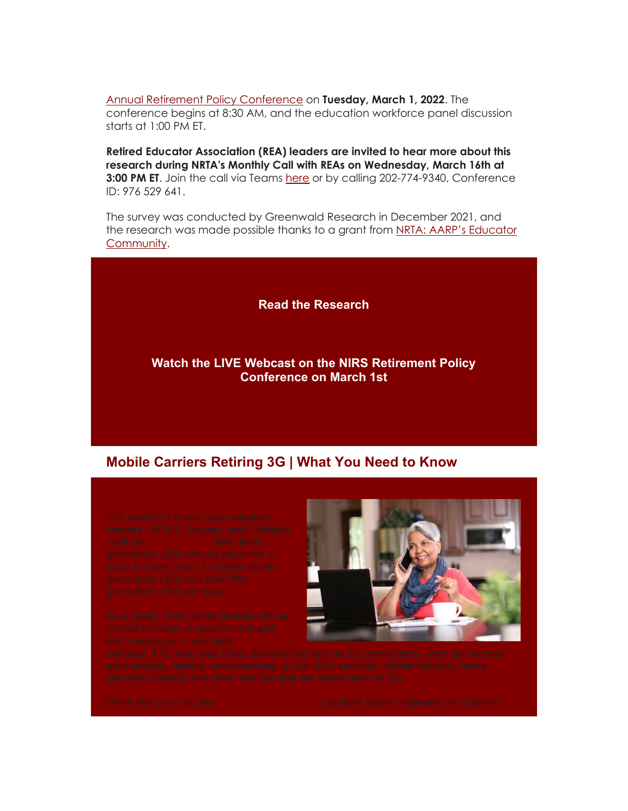[Annual Retirement Policy Conference](https://r20.rs6.net/tn.jsp?f=0012qhwOLVkWwtJHvGh27U4g2GalwCrA4LnA4EfjBT7vjGy3xqCyPR2fEI84R8RaHSPYHkDjXvMmQDXIfN9dkeFIojaN-7mCsqwFERhtlvwme32cOGgt_e61X5wVC0RixID2egvVL5YOsZjolcEOdh04w==&c=CEoJOJX_zXFJ_ThL2Xl6WgO0J116XBDbCoK4KDndWKgpJuAjKrmyrw==&ch=c4KTzrKTP9Fd_zDNGB44k_m_UVVoUepN3KzNQQnD9E-oA5TSW-MrEQ==) on **Tuesday, March 1, 2022**. The conference begins at 8:30 AM, and the education workforce panel discussion starts at 1:00 PM ET.

**Retired Educator Association (REA) leaders are invited to hear more about this research during NRTA's Monthly Call with REAs on Wednesday, March 16th at 3:00 PM ET**. Join the call via Teams [here](https://r20.rs6.net/tn.jsp?f=0012qhwOLVkWwtJHvGh27U4g2GalwCrA4LnA4EfjBT7vjGy3xqCyPR2fEI84R8RaHSPr3RgfXKTllrF464WAfaM9glERn9u32g1Zo51rxDkcTnOqWMK7WEwOOHcjqTYAd3K7bHAFiQpQ0DuCEMt1yy5xOBmMPJCej92eDwTc7XdmztIuQ2kHaj7_Qdi0FRlJNr4jWI4p4k5JMipx5SCDDVDPK2x4lQFPB8XTz2WegRJgrl4EfbPzc0AhbFU1o4pGNNi4isyiYbPEI-Nnr9CTRI70al-kJaNE0fTYt9ARtiScZZXuhv5Z49hlKvobPl54S9HFVQFonBQBug4JbCSI_-AOxZ9hvaWo7zllWfc4ZQn4H7_WA1bFYfcvtilflIMu9F_9nWNdQSZOFLHF8SfHd5EYUK8djDrtGZGA5sx63e77L9hYRqak_9PQbAa6_f1qELSbd4HGWVmL_fgSm7g7YQjpg-wdC2VZa0YtEi3vNCUCSBh-pR__r2BlJzuHoOv5pNNtLsisncOddP8FPwPaJw4u-qwZkUWgd0bVT6uORg45jxIZb17wcfe9gfvzPSzboi4JGn1vXQHZVKMd3z8RKu4PRpiTi62ytiKMGyjQBsBAdNh8pexh9ZJYlOPnjrbKGmUDzF97v7djHIWp2QdaBk3aE4lHGL0ZnuPPaChhKZnx0Dgo4Mm27eZ_N4-0iDx2Oq-n1TLTH5RkTASW5JGqdOuImcw8enEfRA8HIr4NQmXjXYIfsJauig6h90KTsnOyCSCv-DqqY4MvF5aEuZHoa-D8i9JcNZeEYhI6zHYooI2U9PXIbniNBVx5NcyP-r5ptVTbCOfnvrtdQg=&c=CEoJOJX_zXFJ_ThL2Xl6WgO0J116XBDbCoK4KDndWKgpJuAjKrmyrw==&ch=c4KTzrKTP9Fd_zDNGB44k_m_UVVoUepN3KzNQQnD9E-oA5TSW-MrEQ==) or by calling 202-774-9340, Conference ID: 976 529 641.

The survey was conducted by Greenwald Research in December 2021, and the research was made possible thanks to a grant from NRTA: AARP's Educator [Community.](https://r20.rs6.net/tn.jsp?f=0012qhwOLVkWwtJHvGh27U4g2GalwCrA4LnA4EfjBT7vjGy3xqCyPR2fLMjLWs2eq2Vb9XyxAO7MvHNNcr0sXIZWWqKylYNcQO-wNe6GVCvH0h6MqxvLqANH20BWuil2AsBGDcZuncayeM01Ac9cXU6qLehV10F26FiFztdVUk7BvY=&c=CEoJOJX_zXFJ_ThL2Xl6WgO0J116XBDbCoK4KDndWKgpJuAjKrmyrw==&ch=c4KTzrKTP9Fd_zDNGB44k_m_UVVoUepN3KzNQQnD9E-oA5TSW-MrEQ==)

**[Read the Research](https://r20.rs6.net/tn.jsp?f=0012qhwOLVkWwtJHvGh27U4g2GalwCrA4LnA4EfjBT7vjGy3xqCyPR2fEI84R8RaHSPkLlzNitvFdhtADv6esYGytWBxDGEO-BDFFPUyxbQBCYNLm1VDc3QZo9RVlz52OmPume1v0eGTXe3L1c4aOdwm2M4AJaZSfKZ_j9m0sd6J-Mm_MbGEJtagg==&c=CEoJOJX_zXFJ_ThL2Xl6WgO0J116XBDbCoK4KDndWKgpJuAjKrmyrw==&ch=c4KTzrKTP9Fd_zDNGB44k_m_UVVoUepN3KzNQQnD9E-oA5TSW-MrEQ==)**

#### **[Watch the LIVE Webcast on the NIRS Retirement Policy](https://r20.rs6.net/tn.jsp?f=0012qhwOLVkWwtJHvGh27U4g2GalwCrA4LnA4EfjBT7vjGy3xqCyPR2fEI84R8RaHSPwhR3p_ILr5zzNzu68ix5MJ9kGDQWifMTUV3p5xzs4YxHnlsTcso-dBBOIG_5aPLyaiQ9P9jeHiVnNupopUkoY93xCtQ5CPsh5_Bc-Fjl2mQ3j73h31YwDg==&c=CEoJOJX_zXFJ_ThL2Xl6WgO0J116XBDbCoK4KDndWKgpJuAjKrmyrw==&ch=c4KTzrKTP9Fd_zDNGB44k_m_UVVoUepN3KzNQQnD9E-oA5TSW-MrEQ==)  [Conference on March 1st](https://r20.rs6.net/tn.jsp?f=0012qhwOLVkWwtJHvGh27U4g2GalwCrA4LnA4EfjBT7vjGy3xqCyPR2fEI84R8RaHSPwhR3p_ILr5zzNzu68ix5MJ9kGDQWifMTUV3p5xzs4YxHnlsTcso-dBBOIG_5aPLyaiQ9P9jeHiVnNupopUkoY93xCtQ5CPsh5_Bc-Fjl2mQ3j73h31YwDg==&c=CEoJOJX_zXFJ_ThL2Xl6WgO0J116XBDbCoK4KDndWKgpJuAjKrmyrw==&ch=c4KTzrKTP9Fd_zDNGB44k_m_UVVoUepN3KzNQQnD9E-oA5TSW-MrEQ==)**

#### **Mobile Carriers Retiring 3G | What You Need to Know**

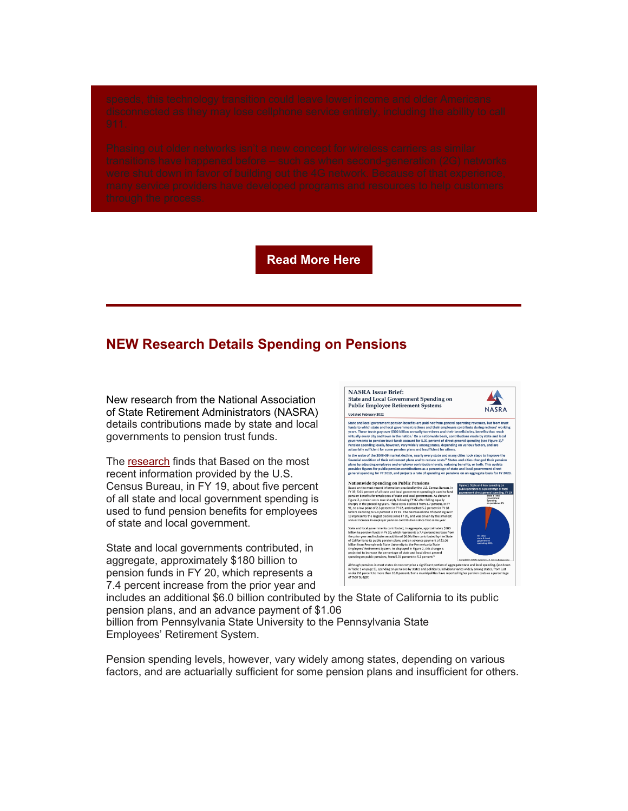**[Read More Here](https://r20.rs6.net/tn.jsp?f=0012qhwOLVkWwtJHvGh27U4g2GalwCrA4LnA4EfjBT7vjGy3xqCyPR2fEI84R8RaHSPyAWBBQDTEL24LWt2XO4tMvpB8T_ZnXAYhxYyj0A-dPTq6ee1TUwMzsTnlMaDvP5LoGpHbRQ4uouIOLlmbGhLKKJQPQqrjkC6Ts1T2QGPy3izcqYaxQey805_OOaDYW332w_xfqOPglFHWkzQSuZGRZJ49jE7_kTfmmanct01E_tFxmr6O8PVvwns-sUrPCWO&c=CEoJOJX_zXFJ_ThL2Xl6WgO0J116XBDbCoK4KDndWKgpJuAjKrmyrw==&ch=c4KTzrKTP9Fd_zDNGB44k_m_UVVoUepN3KzNQQnD9E-oA5TSW-MrEQ==)**

## **NEW Research Details Spending on Pensions**

New research from the National Association of State Retirement Administrators [\(NASRA\)](https://r20.rs6.net/tn.jsp?f=0012qhwOLVkWwtJHvGh27U4g2GalwCrA4LnA4EfjBT7vjGy3xqCyPR2fKPntHC3lV3w1Asc0u5etHvULOhc87gIBJLprSabD59Q_CMN9tlKB7t7WpFSpivqv_18kWFByQe84enCM--AWarjen6fG4-ndQ==&c=CEoJOJX_zXFJ_ThL2Xl6WgO0J116XBDbCoK4KDndWKgpJuAjKrmyrw==&ch=c4KTzrKTP9Fd_zDNGB44k_m_UVVoUepN3KzNQQnD9E-oA5TSW-MrEQ==) details contributions made by state and local governments to pension trust funds.

The [research](https://r20.rs6.net/tn.jsp?f=0012qhwOLVkWwtJHvGh27U4g2GalwCrA4LnA4EfjBT7vjGy3xqCyPR2fEiOy2RnG5Cs2IjFESa7obhfyAM7Y3np6T8PtGwafRl8XFUDJ_MeArHCk4MmbU_xULMZcmwWUGR8FJtqESmO4aayPsbfAO67ZxX2XbjLtDqbMGouDg5-OlLSEUWHMQssbyTzMf1HwCWNF8aVng38cF0=&c=CEoJOJX_zXFJ_ThL2Xl6WgO0J116XBDbCoK4KDndWKgpJuAjKrmyrw==&ch=c4KTzrKTP9Fd_zDNGB44k_m_UVVoUepN3KzNQQnD9E-oA5TSW-MrEQ==) finds that Based on the most recent information provided by the U.S. Census Bureau, in FY 19, about five percent of all state and local government spending is used to fund pension benefits for employees of state and local government.

State and local governments contributed, in aggregate, approximately \$180 billion to pension funds in FY 20, which represents a 7.4 percent increase from the prior year and



includes an additional \$6.0 billion contributed by the State of California to its public pension plans, and an advance payment of \$1.06 billion from Pennsylvania State University to the Pennsylvania State Employees' Retirement System.

Pension spending levels, however, vary widely among states, depending on various factors, and are actuarially sufficient for some pension plans and insufficient for others.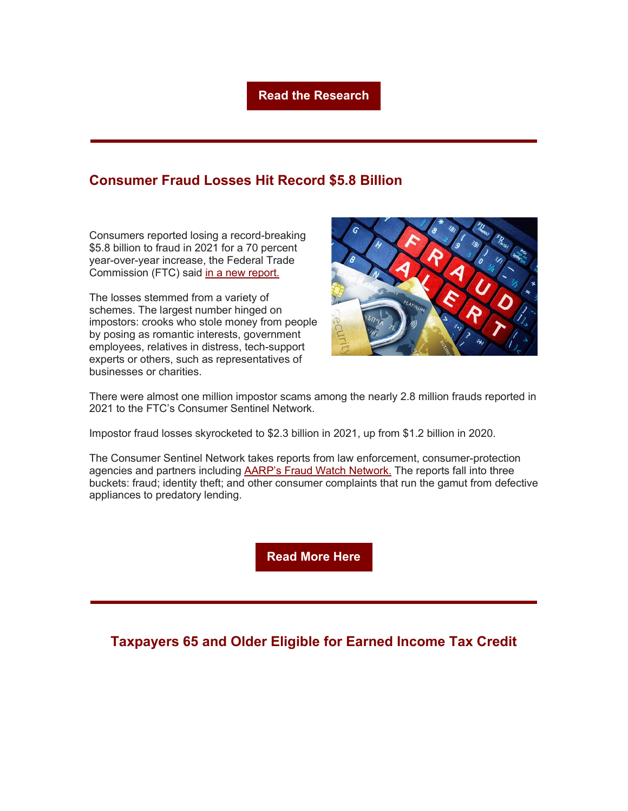#### **[Read the Research](https://r20.rs6.net/tn.jsp?f=0012qhwOLVkWwtJHvGh27U4g2GalwCrA4LnA4EfjBT7vjGy3xqCyPR2fEiOy2RnG5Cs2IjFESa7obhfyAM7Y3np6T8PtGwafRl8XFUDJ_MeArHCk4MmbU_xULMZcmwWUGR8FJtqESmO4aayPsbfAO67ZxX2XbjLtDqbMGouDg5-OlLSEUWHMQssbyTzMf1HwCWNF8aVng38cF0=&c=CEoJOJX_zXFJ_ThL2Xl6WgO0J116XBDbCoK4KDndWKgpJuAjKrmyrw==&ch=c4KTzrKTP9Fd_zDNGB44k_m_UVVoUepN3KzNQQnD9E-oA5TSW-MrEQ==)**

## **Consumer Fraud Losses Hit Record \$5.8 Billion**

Consumers reported losing a record-breaking \$5.8 billion to fraud in 2021 for a 70 percent year-over-year increase, the Federal Trade Commission (FTC) said [in a new report.](https://r20.rs6.net/tn.jsp?f=0012qhwOLVkWwtJHvGh27U4g2GalwCrA4LnA4EfjBT7vjGy3xqCyPR2fEI84R8RaHSPtaVPiDBt13aPl-VrTw9wIkd0B49j5vO_H31R6B-fThvqZ1OqjzCCGOcMLIG6bxFMCm-Ik9dWeuVWKQpRs4MaMmXPkNyEQG9kpCsYX1qTb7v9BmpsO4nZKwtLTv-7A85G59zOmCupqai9OAjHLmZkaERVi6kjozT6nw1BgJnSuURabRGCAEW0foCQm6QHFPgIiTpi8fvmzAvbYslKgtEmjMyBAaGV4puEUns8kLlor4w=&c=CEoJOJX_zXFJ_ThL2Xl6WgO0J116XBDbCoK4KDndWKgpJuAjKrmyrw==&ch=c4KTzrKTP9Fd_zDNGB44k_m_UVVoUepN3KzNQQnD9E-oA5TSW-MrEQ==)

The losses stemmed from a variety of schemes. The largest number hinged on impostors: crooks who stole money from people by posing as romantic interests, government employees, relatives in distress, tech-support experts or others, such as representatives of businesses or charities.



There were almost one million impostor scams among the nearly 2.8 million frauds reported in 2021 to the FTC's Consumer Sentinel Network.

Impostor fraud losses skyrocketed to \$2.3 billion in 2021, up from \$1.2 billion in 2020.

The Consumer Sentinel Network takes reports from law enforcement, consumer-protection agencies and partners including **AARP's Fraud Watch Network**. The reports fall into three buckets: fraud; identity theft; and other consumer complaints that run the gamut from defective appliances to predatory lending.

**[Read More Here](https://r20.rs6.net/tn.jsp?f=0012qhwOLVkWwtJHvGh27U4g2GalwCrA4LnA4EfjBT7vjGy3xqCyPR2fEI84R8RaHSPI9qHU3uKLqv4ACnzfmKydF9xtReLUwEBvM63UHDMkCNNJfPuFgFekH8YOLT4CT6NrvXNVpHYn8W0sTaUn9a3e-d2duCCsZb1oNVsGpPISKl_W_Kg9BHcS2fz6le2Xy20cp0IlX2TYXBuJ6Fe9U9OlsyLENKW0rBKQPVrn0TPenAvcs2wV3dRAW1dKXfZETsyPfQ4NWF39jg=&c=CEoJOJX_zXFJ_ThL2Xl6WgO0J116XBDbCoK4KDndWKgpJuAjKrmyrw==&ch=c4KTzrKTP9Fd_zDNGB44k_m_UVVoUepN3KzNQQnD9E-oA5TSW-MrEQ==)**

### **Taxpayers 65 and Older Eligible for Earned Income Tax Credit**